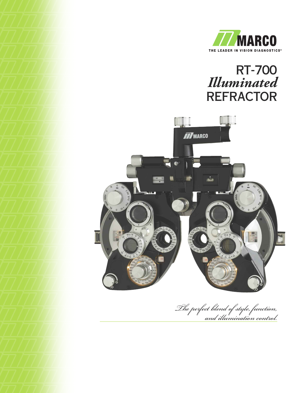

# RT-700 *Illuminated* **REFRACTOR**



*The perfect blend of style, function, and illuminationcontrol.*